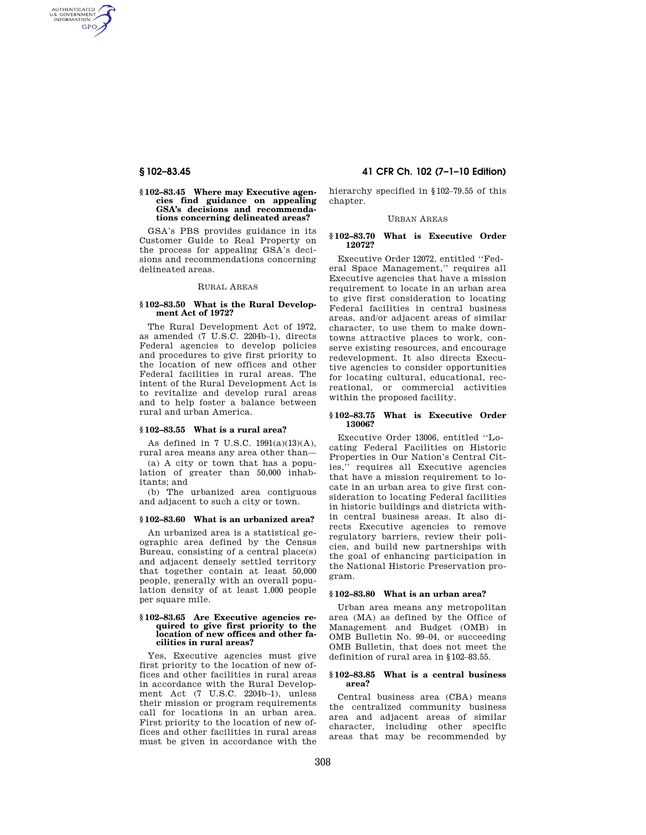AUTHENTICATED<br>U.S. GOVERNMENT<br>INFORMATION **GPO** 

### **§ 102–83.45 Where may Executive agencies find guidance on appealing GSA's decisions and recommendations concerning delineated areas?**

GSA's PBS provides guidance in its Customer Guide to Real Property on the process for appealing GSA's decisions and recommendations concerning delineated areas.

# RURAL AREAS

# **§ 102–83.50 What is the Rural Development Act of 1972?**

The Rural Development Act of 1972, as amended (7 U.S.C. 2204b–1), directs Federal agencies to develop policies and procedures to give first priority to the location of new offices and other Federal facilities in rural areas. The intent of the Rural Development Act is to revitalize and develop rural areas and to help foster a balance between rural and urban America.

# **§ 102–83.55 What is a rural area?**

As defined in 7 U.S.C. 1991(a)(13)(A), rural area means any area other than—

(a) A city or town that has a population of greater than 50,000 inhabitants; and

(b) The urbanized area contiguous and adjacent to such a city or town.

# **§ 102–83.60 What is an urbanized area?**

An urbanized area is a statistical geographic area defined by the Census Bureau, consisting of a central place(s) and adjacent densely settled territory that together contain at least 50,000 people, generally with an overall population density of at least 1,000 people per square mile.

#### **§ 102–83.65 Are Executive agencies required to give first priority to the location of new offices and other facilities in rural areas?**

Yes, Executive agencies must give first priority to the location of new offices and other facilities in rural areas in accordance with the Rural Development Act (7 U.S.C. 2204b–1), unless their mission or program requirements call for locations in an urban area. First priority to the location of new offices and other facilities in rural areas must be given in accordance with the

# **§ 102–83.45 41 CFR Ch. 102 (7–1–10 Edition)**

hierarchy specified in §102–79.55 of this chapter.

### URBAN AREAS

# **§ 102–83.70 What is Executive Order 12072?**

Executive Order 12072, entitled ''Federal Space Management,'' requires all Executive agencies that have a mission requirement to locate in an urban area to give first consideration to locating Federal facilities in central business areas, and/or adjacent areas of similar character, to use them to make downtowns attractive places to work, conserve existing resources, and encourage redevelopment. It also directs Executive agencies to consider opportunities for locating cultural, educational, recreational, or commercial activities within the proposed facility.

#### **§ 102–83.75 What is Executive Order 13006?**

Executive Order 13006, entitled ''Locating Federal Facilities on Historic Properties in Our Nation's Central Cities,'' requires all Executive agencies that have a mission requirement to locate in an urban area to give first consideration to locating Federal facilities in historic buildings and districts within central business areas. It also directs Executive agencies to remove regulatory barriers, review their policies, and build new partnerships with the goal of enhancing participation in the National Historic Preservation program.

# **§ 102–83.80 What is an urban area?**

Urban area means any metropolitan area (MA) as defined by the Office of Management and Budget (OMB) in OMB Bulletin No. 99–04, or succeeding OMB Bulletin, that does not meet the definition of rural area in §102–83.55.

# **§ 102–83.85 What is a central business area?**

Central business area (CBA) means the centralized community business area and adjacent areas of similar character, including other specific areas that may be recommended by